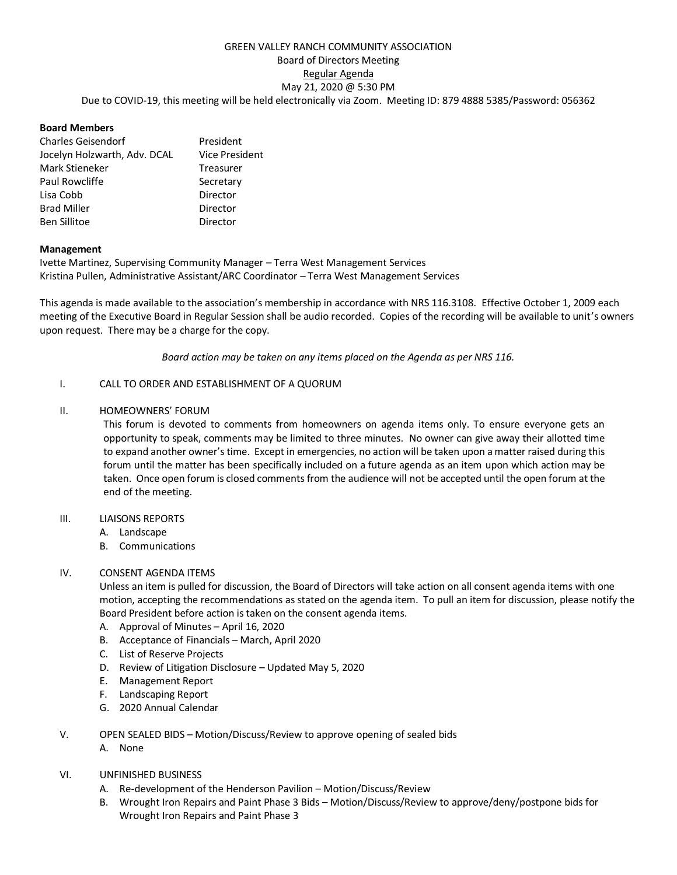# GREEN VALLEY RANCH COMMUNITY ASSOCIATION Board of Directors Meeting Regular Agenda May 21, 2020 @ 5:30 PM Due to COVID-19, this meeting will be held electronically via Zoom. Meeting ID: 879 4888 5385/Password: 056362

### **Board Members**

| <b>Charles Geisendorf</b>    | President             |
|------------------------------|-----------------------|
| Jocelyn Holzwarth, Adv. DCAL | <b>Vice President</b> |
| Mark Stieneker               | Treasurer             |
| Paul Rowcliffe               | Secretary             |
| Lisa Cobb                    | Director              |
| <b>Brad Miller</b>           | Director              |
| <b>Ben Sillitoe</b>          | Director              |

### **Management**

Ivette Martinez, Supervising Community Manager – Terra West Management Services Kristina Pullen, Administrative Assistant/ARC Coordinator – Terra West Management Services

This agenda is made available to the association's membership in accordance with NRS 116.3108. Effective October 1, 2009 each meeting of the Executive Board in Regular Session shall be audio recorded. Copies of the recording will be available to unit's owners upon request. There may be a charge for the copy.

*Board action may be taken on any items placed on the Agenda as per NRS 116.*

### I. CALL TO ORDER AND ESTABLISHMENT OF A QUORUM

### II. HOMEOWNERS' FORUM

This forum is devoted to comments from homeowners on agenda items only. To ensure everyone gets an opportunity to speak, comments may be limited to three minutes. No owner can give away their allotted time to expand another owner's time. Except in emergencies, no action will be taken upon a matter raised during this forum until the matter has been specifically included on a future agenda as an item upon which action may be taken. Once open forum is closed comments from the audience will not be accepted until the open forum at the end of the meeting.

#### III. LIAISONS REPORTS

- A. Landscape
- B. Communications

# IV. CONSENT AGENDA ITEMS

Unless an item is pulled for discussion, the Board of Directors will take action on all consent agenda items with one motion, accepting the recommendations as stated on the agenda item. To pull an item for discussion, please notify the Board President before action is taken on the consent agenda items.

- A. Approval of Minutes April 16, 2020
- B. Acceptance of Financials March, April 2020
- C. List of Reserve Projects
- D. Review of Litigation Disclosure Updated May 5, 2020
- E. Management Report
- F. Landscaping Report
- G. 2020 Annual Calendar
- V. OPEN SEALED BIDS Motion/Discuss/Review to approve opening of sealed bids
	- A. None
- VI. UNFINISHED BUSINESS
	- A. Re-development of the Henderson Pavilion Motion/Discuss/Review
	- B. Wrought Iron Repairs and Paint Phase 3 Bids Motion/Discuss/Review to approve/deny/postpone bids for Wrought Iron Repairs and Paint Phase 3